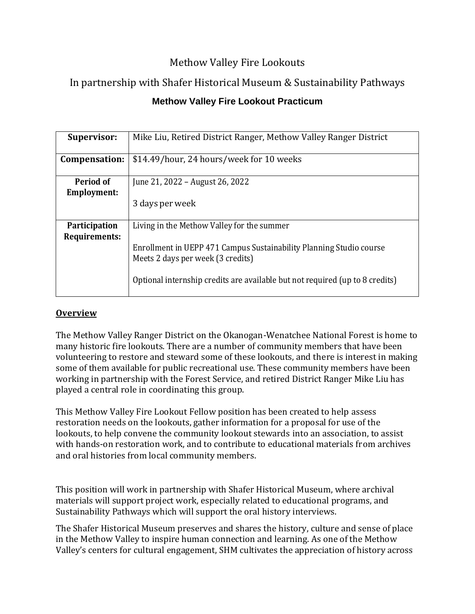## Methow Valley Fire Lookouts

# In partnership with Shafer Historical Museum & Sustainability Pathways

## **Methow Valley Fire Lookout Practicum**

| <b>Supervisor:</b>                    | Mike Liu, Retired District Ranger, Methow Valley Ranger District                                                                                                                                                                       |
|---------------------------------------|----------------------------------------------------------------------------------------------------------------------------------------------------------------------------------------------------------------------------------------|
| Compensation:                         | \$14.49/hour, 24 hours/week for 10 weeks                                                                                                                                                                                               |
| Period of<br><b>Employment:</b>       | June 21, 2022 – August 26, 2022<br>3 days per week                                                                                                                                                                                     |
| <b>Participation</b><br>Requirements: | Living in the Methow Valley for the summer<br>Enrollment in UEPP 471 Campus Sustainability Planning Studio course<br>Meets 2 days per week (3 credits)<br>Optional internship credits are available but not required (up to 8 credits) |

## **Overview**

The Methow Valley Ranger District on the Okanogan-Wenatchee National Forest is home to many historic fire lookouts. There are a number of community members that have been volunteering to restore and steward some of these lookouts, and there is interest in making some of them available for public recreational use. These community members have been working in partnership with the Forest Service, and retired District Ranger Mike Liu has played a central role in coordinating this group.

This Methow Valley Fire Lookout Fellow position has been created to help assess restoration needs on the lookouts, gather information for a proposal for use of the lookouts, to help convene the community lookout stewards into an association, to assist with hands-on restoration work, and to contribute to educational materials from archives and oral histories from local community members.

This position will work in partnership with Shafer Historical Museum, where archival materials will support project work, especially related to educational programs, and Sustainability Pathways which will support the oral history interviews.

The Shafer Historical Museum preserves and shares the history, culture and sense of place in the Methow Valley to inspire human connection and learning. As one of the Methow Valley's centers for cultural engagement, SHM cultivates the appreciation of history across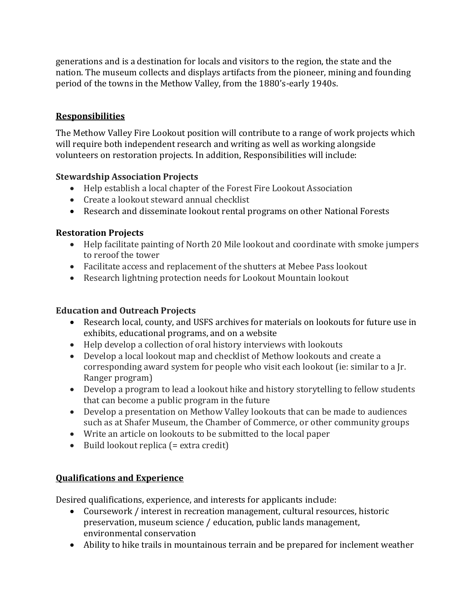generations and is a destination for locals and visitors to the region, the state and the nation. The museum collects and displays artifacts from the pioneer, mining and founding period of the towns in the Methow Valley, from the 1880's-early 1940s.

## **Responsibilities**

The Methow Valley Fire Lookout position will contribute to a range of work projects which will require both independent research and writing as well as working alongside volunteers on restoration projects. In addition, Responsibilities will include:

#### **Stewardship Association Projects**

- Help establish a local chapter of the Forest Fire Lookout Association
- Create a lookout steward annual checklist
- Research and disseminate lookout rental programs on other National Forests

#### **Restoration Projects**

- Help facilitate painting of North 20 Mile lookout and coordinate with smoke jumpers to reroof the tower
- Facilitate access and replacement of the shutters at Mebee Pass lookout
- Research lightning protection needs for Lookout Mountain lookout

### **Education and Outreach Projects**

- Research local, county, and USFS archives for materials on lookouts for future use in exhibits, educational programs, and on a website
- Help develop a collection of oral history interviews with lookouts
- Develop a local lookout map and checklist of Methow lookouts and create a corresponding award system for people who visit each lookout (ie: similar to a Jr. Ranger program)
- Develop a program to lead a lookout hike and history storytelling to fellow students that can become a public program in the future
- Develop a presentation on Methow Valley lookouts that can be made to audiences such as at Shafer Museum, the Chamber of Commerce, or other community groups
- Write an article on lookouts to be submitted to the local paper
- Build lookout replica (= extra credit)

#### **Qualifications and Experience**

Desired qualifications, experience, and interests for applicants include:

- Coursework / interest in recreation management, cultural resources, historic preservation, museum science / education, public lands management, environmental conservation
- Ability to hike trails in mountainous terrain and be prepared for inclement weather